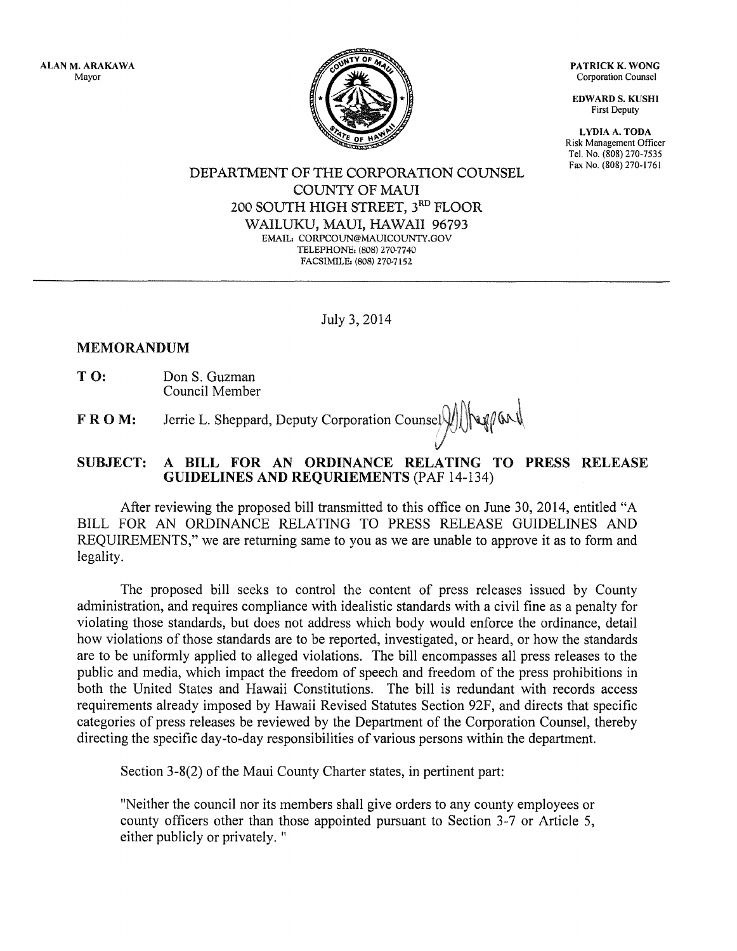ALAN M. ARAKAWA Mayor



PATRICK K. WONG Corporation Counsel

EDWARD S. KUSHI First Deputy

LYDIA A. TODA Risk Management Officer Tel. No. (808) 270-7535 Fax No. (808) 270-1761

DEPARTMENT OF THE CORPORATION COUNSEL COUNTY OF MAUl 200 SOUTH HIGH STREET, 3RD FLOOR WAILUKU, MAUl, HAWAII 96793 EMAIL: CORPCOUN@MAUlCOUNTY.GOV TELEPHONE: (808) 270-7740 FACSIMILE: (808) 270-7152

July 3, 2014

## MEMORANDUM

T O: Don S. Guzman Council Member

 $\mathbf{F} \mathbf{R} \mathbf{O} \mathbf{M}$ : Jerrie L. Sheppard, Deputy Corporation Counsel  $\text{min} \left( \text{max} \right)$ 

## SUBJECT: A BILL FOR AN ORDINANCE RELATING TO PRESS RELEASE GUIDELINES AND REQURIEMENTS (PAF 14-134)

After reviewing the proposed bill transmitted to this office on June 30, 2014, entitled "A BILL FOR AN ORDINANCE RELATING TO PRESS RELEASE GUIDELINES AND REQUIREMENTS," we are returning same to you as we are unable to approve it as to form and legality.

The proposed bill seeks to control the content of press releases issued by County administration, and requires compliance with idealistic standards with a civil fine as a penalty for violating those standards, but does not address which body would enforce the ordinance, detail how violations of those standards are to be reported, investigated, or heard, or how the standards are to be uniformly applied to alleged violations. The bill encompasses all press releases to the public and media, which impact the freedom of speech and freedom of the press prohibitions in both the United States and Hawaii Constitutions. The bill is redundant with records access requirements already imposed by Hawaii Revised Statutes Section 92F, and directs that specific categories of press releases be reviewed by the Department of the Corporation Counsel, thereby directing the specific day-to-day responsibilities of various persons within the department.

Section 3-8(2) of the Maui County Charter states, in pertinent part:

"Neither the council nor its members shall give orders to any county employees or county officers other than those appointed pursuant to Section 3-7 or Article 5, either publicly or privately. "